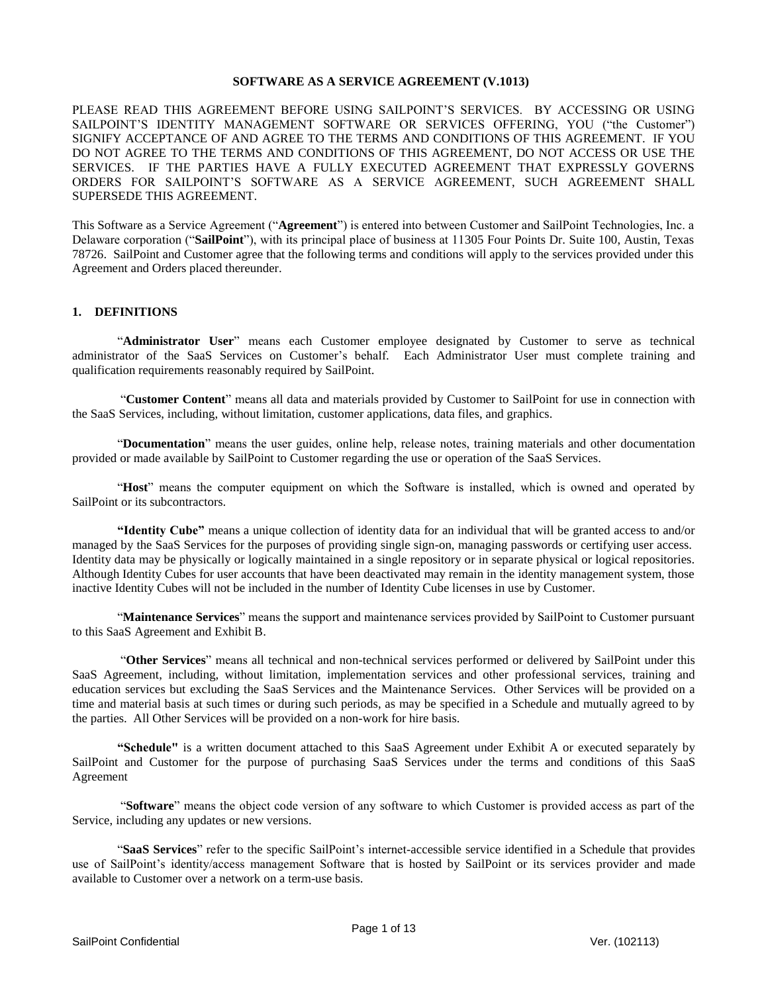### **SOFTWARE AS A SERVICE AGREEMENT (V.1013)**

PLEASE READ THIS AGREEMENT BEFORE USING SAILPOINT'S SERVICES. BY ACCESSING OR USING SAILPOINT'S IDENTITY MANAGEMENT SOFTWARE OR SERVICES OFFERING, YOU ("the Customer") SIGNIFY ACCEPTANCE OF AND AGREE TO THE TERMS AND CONDITIONS OF THIS AGREEMENT. IF YOU DO NOT AGREE TO THE TERMS AND CONDITIONS OF THIS AGREEMENT, DO NOT ACCESS OR USE THE SERVICES. IF THE PARTIES HAVE A FULLY EXECUTED AGREEMENT THAT EXPRESSLY GOVERNS ORDERS FOR SAILPOINT'S SOFTWARE AS A SERVICE AGREEMENT, SUCH AGREEMENT SHALL SUPERSEDE THIS AGREEMENT.

This Software as a Service Agreement ("**Agreement**") is entered into between Customer and SailPoint Technologies, Inc. a Delaware corporation ("**SailPoint**"), with its principal place of business at 11305 Four Points Dr. Suite 100, Austin, Texas 78726. SailPoint and Customer agree that the following terms and conditions will apply to the services provided under this Agreement and Orders placed thereunder.

### **1. DEFINITIONS**

"**Administrator User**" means each Customer employee designated by Customer to serve as technical administrator of the SaaS Services on Customer's behalf. Each Administrator User must complete training and qualification requirements reasonably required by SailPoint.

"**Customer Content**" means all data and materials provided by Customer to SailPoint for use in connection with the SaaS Services, including, without limitation, customer applications, data files, and graphics.

"**Documentation**" means the user guides, online help, release notes, training materials and other documentation provided or made available by SailPoint to Customer regarding the use or operation of the SaaS Services.

"**Host**" means the computer equipment on which the Software is installed, which is owned and operated by SailPoint or its subcontractors.

**"Identity Cube"** means a unique collection of identity data for an individual that will be granted access to and/or managed by the SaaS Services for the purposes of providing single sign-on, managing passwords or certifying user access. Identity data may be physically or logically maintained in a single repository or in separate physical or logical repositories. Although Identity Cubes for user accounts that have been deactivated may remain in the identity management system, those inactive Identity Cubes will not be included in the number of Identity Cube licenses in use by Customer.

"**Maintenance Services**" means the support and maintenance services provided by SailPoint to Customer pursuant to this SaaS Agreement and Exhibit B.

"**Other Services**" means all technical and non-technical services performed or delivered by SailPoint under this SaaS Agreement, including, without limitation, implementation services and other professional services, training and education services but excluding the SaaS Services and the Maintenance Services. Other Services will be provided on a time and material basis at such times or during such periods, as may be specified in a Schedule and mutually agreed to by the parties. All Other Services will be provided on a non-work for hire basis.

**"Schedule"** is a written document attached to this SaaS Agreement under Exhibit A or executed separately by SailPoint and Customer for the purpose of purchasing SaaS Services under the terms and conditions of this SaaS Agreement

"**Software**" means the object code version of any software to which Customer is provided access as part of the Service, including any updates or new versions.

"**SaaS Services**" refer to the specific SailPoint's internet-accessible service identified in a Schedule that provides use of SailPoint's identity/access management Software that is hosted by SailPoint or its services provider and made available to Customer over a network on a term-use basis.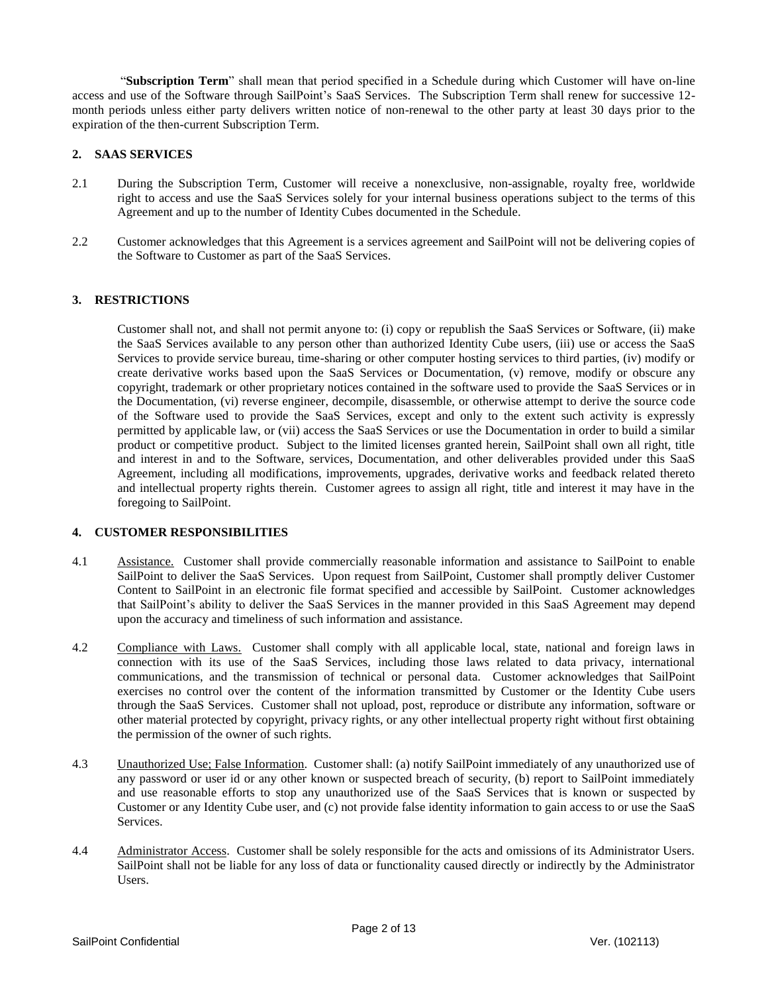"**Subscription Term**" shall mean that period specified in a Schedule during which Customer will have on-line access and use of the Software through SailPoint's SaaS Services. The Subscription Term shall renew for successive 12 month periods unless either party delivers written notice of non-renewal to the other party at least 30 days prior to the expiration of the then-current Subscription Term.

# **2. SAAS SERVICES**

- 2.1 During the Subscription Term, Customer will receive a nonexclusive, non-assignable, royalty free, worldwide right to access and use the SaaS Services solely for your internal business operations subject to the terms of this Agreement and up to the number of Identity Cubes documented in the Schedule.
- 2.2 Customer acknowledges that this Agreement is a services agreement and SailPoint will not be delivering copies of the Software to Customer as part of the SaaS Services.

### **3. RESTRICTIONS**

Customer shall not, and shall not permit anyone to: (i) copy or republish the SaaS Services or Software, (ii) make the SaaS Services available to any person other than authorized Identity Cube users, (iii) use or access the SaaS Services to provide service bureau, time-sharing or other computer hosting services to third parties, (iv) modify or create derivative works based upon the SaaS Services or Documentation, (v) remove, modify or obscure any copyright, trademark or other proprietary notices contained in the software used to provide the SaaS Services or in the Documentation, (vi) reverse engineer, decompile, disassemble, or otherwise attempt to derive the source code of the Software used to provide the SaaS Services, except and only to the extent such activity is expressly permitted by applicable law, or (vii) access the SaaS Services or use the Documentation in order to build a similar product or competitive product. Subject to the limited licenses granted herein, SailPoint shall own all right, title and interest in and to the Software, services, Documentation, and other deliverables provided under this SaaS Agreement, including all modifications, improvements, upgrades, derivative works and feedback related thereto and intellectual property rights therein. Customer agrees to assign all right, title and interest it may have in the foregoing to SailPoint.

### **4. CUSTOMER RESPONSIBILITIES**

- 4.1 Assistance. Customer shall provide commercially reasonable information and assistance to SailPoint to enable SailPoint to deliver the SaaS Services. Upon request from SailPoint, Customer shall promptly deliver Customer Content to SailPoint in an electronic file format specified and accessible by SailPoint. Customer acknowledges that SailPoint's ability to deliver the SaaS Services in the manner provided in this SaaS Agreement may depend upon the accuracy and timeliness of such information and assistance.
- 4.2 Compliance with Laws. Customer shall comply with all applicable local, state, national and foreign laws in connection with its use of the SaaS Services, including those laws related to data privacy, international communications, and the transmission of technical or personal data. Customer acknowledges that SailPoint exercises no control over the content of the information transmitted by Customer or the Identity Cube users through the SaaS Services. Customer shall not upload, post, reproduce or distribute any information, software or other material protected by copyright, privacy rights, or any other intellectual property right without first obtaining the permission of the owner of such rights.
- 4.3 Unauthorized Use; False Information. Customer shall: (a) notify SailPoint immediately of any unauthorized use of any password or user id or any other known or suspected breach of security, (b) report to SailPoint immediately and use reasonable efforts to stop any unauthorized use of the SaaS Services that is known or suspected by Customer or any Identity Cube user, and (c) not provide false identity information to gain access to or use the SaaS Services.
- 4.4 Administrator Access. Customer shall be solely responsible for the acts and omissions of its Administrator Users. SailPoint shall not be liable for any loss of data or functionality caused directly or indirectly by the Administrator Users.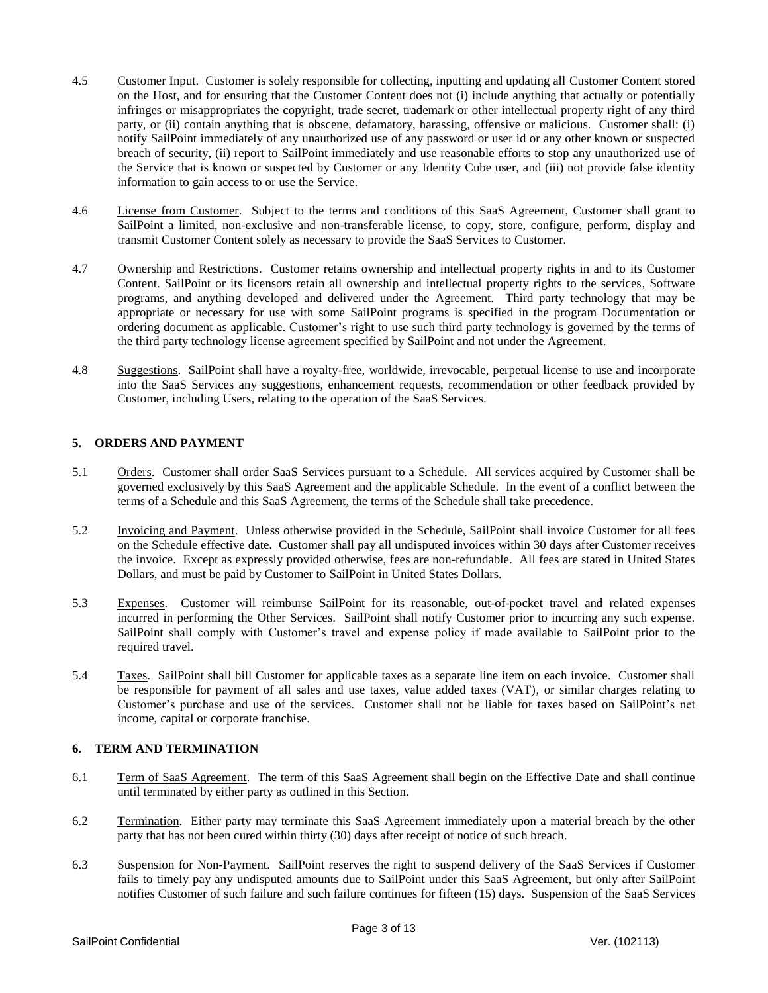- 4.5 Customer Input. Customer is solely responsible for collecting, inputting and updating all Customer Content stored on the Host, and for ensuring that the Customer Content does not (i) include anything that actually or potentially infringes or misappropriates the copyright, trade secret, trademark or other intellectual property right of any third party, or (ii) contain anything that is obscene, defamatory, harassing, offensive or malicious. Customer shall: (i) notify SailPoint immediately of any unauthorized use of any password or user id or any other known or suspected breach of security, (ii) report to SailPoint immediately and use reasonable efforts to stop any unauthorized use of the Service that is known or suspected by Customer or any Identity Cube user, and (iii) not provide false identity information to gain access to or use the Service.
- 4.6 License from Customer. Subject to the terms and conditions of this SaaS Agreement, Customer shall grant to SailPoint a limited, non-exclusive and non-transferable license, to copy, store, configure, perform, display and transmit Customer Content solely as necessary to provide the SaaS Services to Customer.
- 4.7 Ownership and Restrictions. Customer retains ownership and intellectual property rights in and to its Customer Content. SailPoint or its licensors retain all ownership and intellectual property rights to the services, Software programs, and anything developed and delivered under the Agreement. Third party technology that may be appropriate or necessary for use with some SailPoint programs is specified in the program Documentation or ordering document as applicable. Customer's right to use such third party technology is governed by the terms of the third party technology license agreement specified by SailPoint and not under the Agreement.
- 4.8 Suggestions. SailPoint shall have a royalty-free, worldwide, irrevocable, perpetual license to use and incorporate into the SaaS Services any suggestions, enhancement requests, recommendation or other feedback provided by Customer, including Users, relating to the operation of the SaaS Services.

# **5. ORDERS AND PAYMENT**

- 5.1 Orders. Customer shall order SaaS Services pursuant to a Schedule. All services acquired by Customer shall be governed exclusively by this SaaS Agreement and the applicable Schedule. In the event of a conflict between the terms of a Schedule and this SaaS Agreement, the terms of the Schedule shall take precedence.
- 5.2 Invoicing and Payment. Unless otherwise provided in the Schedule, SailPoint shall invoice Customer for all fees on the Schedule effective date. Customer shall pay all undisputed invoices within 30 days after Customer receives the invoice. Except as expressly provided otherwise, fees are non-refundable. All fees are stated in United States Dollars, and must be paid by Customer to SailPoint in United States Dollars.
- 5.3 Expenses. Customer will reimburse SailPoint for its reasonable, out-of-pocket travel and related expenses incurred in performing the Other Services. SailPoint shall notify Customer prior to incurring any such expense. SailPoint shall comply with Customer's travel and expense policy if made available to SailPoint prior to the required travel.
- 5.4 Taxes. SailPoint shall bill Customer for applicable taxes as a separate line item on each invoice. Customer shall be responsible for payment of all sales and use taxes, value added taxes (VAT), or similar charges relating to Customer's purchase and use of the services. Customer shall not be liable for taxes based on SailPoint's net income, capital or corporate franchise.

# **6. TERM AND TERMINATION**

- 6.1 Term of SaaS Agreement. The term of this SaaS Agreement shall begin on the Effective Date and shall continue until terminated by either party as outlined in this Section.
- 6.2 Termination. Either party may terminate this SaaS Agreement immediately upon a material breach by the other party that has not been cured within thirty (30) days after receipt of notice of such breach.
- 6.3 Suspension for Non-Payment. SailPoint reserves the right to suspend delivery of the SaaS Services if Customer fails to timely pay any undisputed amounts due to SailPoint under this SaaS Agreement, but only after SailPoint notifies Customer of such failure and such failure continues for fifteen (15) days. Suspension of the SaaS Services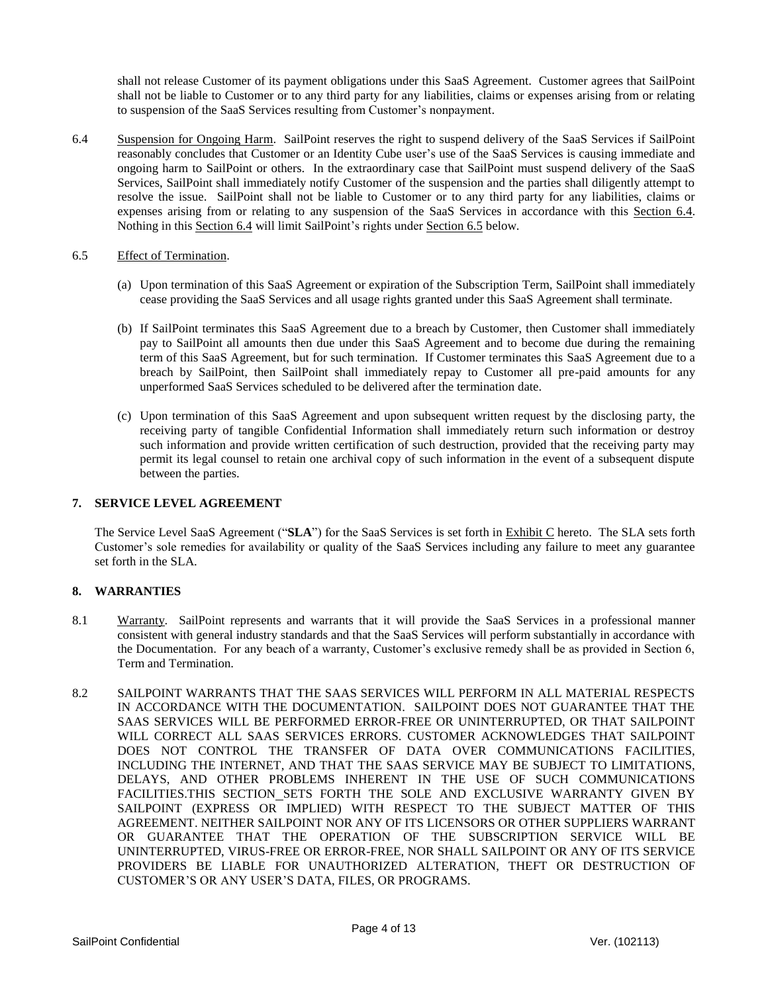shall not release Customer of its payment obligations under this SaaS Agreement. Customer agrees that SailPoint shall not be liable to Customer or to any third party for any liabilities, claims or expenses arising from or relating to suspension of the SaaS Services resulting from Customer's nonpayment.

- 6.4 Suspension for Ongoing Harm. SailPoint reserves the right to suspend delivery of the SaaS Services if SailPoint reasonably concludes that Customer or an Identity Cube user's use of the SaaS Services is causing immediate and ongoing harm to SailPoint or others. In the extraordinary case that SailPoint must suspend delivery of the SaaS Services, SailPoint shall immediately notify Customer of the suspension and the parties shall diligently attempt to resolve the issue. SailPoint shall not be liable to Customer or to any third party for any liabilities, claims or expenses arising from or relating to any suspension of the SaaS Services in accordance with this Section 6.4. Nothing in this Section 6.4 will limit SailPoint's rights under Section 6.5 below.
- 6.5 Effect of Termination.
	- (a) Upon termination of this SaaS Agreement or expiration of the Subscription Term, SailPoint shall immediately cease providing the SaaS Services and all usage rights granted under this SaaS Agreement shall terminate.
	- (b) If SailPoint terminates this SaaS Agreement due to a breach by Customer, then Customer shall immediately pay to SailPoint all amounts then due under this SaaS Agreement and to become due during the remaining term of this SaaS Agreement, but for such termination. If Customer terminates this SaaS Agreement due to a breach by SailPoint, then SailPoint shall immediately repay to Customer all pre-paid amounts for any unperformed SaaS Services scheduled to be delivered after the termination date.
	- (c) Upon termination of this SaaS Agreement and upon subsequent written request by the disclosing party, the receiving party of tangible Confidential Information shall immediately return such information or destroy such information and provide written certification of such destruction, provided that the receiving party may permit its legal counsel to retain one archival copy of such information in the event of a subsequent dispute between the parties.

# **7. SERVICE LEVEL AGREEMENT**

The Service Level SaaS Agreement ("**SLA**") for the SaaS Services is set forth in Exhibit C hereto. The SLA sets forth Customer's sole remedies for availability or quality of the SaaS Services including any failure to meet any guarantee set forth in the SLA.

# **8. WARRANTIES**

- 8.1 Warranty. SailPoint represents and warrants that it will provide the SaaS Services in a professional manner consistent with general industry standards and that the SaaS Services will perform substantially in accordance with the Documentation. For any beach of a warranty, Customer's exclusive remedy shall be as provided in Section 6, Term and Termination.
- 8.2 SAILPOINT WARRANTS THAT THE SAAS SERVICES WILL PERFORM IN ALL MATERIAL RESPECTS IN ACCORDANCE WITH THE DOCUMENTATION. SAILPOINT DOES NOT GUARANTEE THAT THE SAAS SERVICES WILL BE PERFORMED ERROR-FREE OR UNINTERRUPTED, OR THAT SAILPOINT WILL CORRECT ALL SAAS SERVICES ERRORS. CUSTOMER ACKNOWLEDGES THAT SAILPOINT DOES NOT CONTROL THE TRANSFER OF DATA OVER COMMUNICATIONS FACILITIES, INCLUDING THE INTERNET, AND THAT THE SAAS SERVICE MAY BE SUBJECT TO LIMITATIONS, DELAYS, AND OTHER PROBLEMS INHERENT IN THE USE OF SUCH COMMUNICATIONS FACILITIES.THIS SECTION SETS FORTH THE SOLE AND EXCLUSIVE WARRANTY GIVEN BY SAILPOINT (EXPRESS OR IMPLIED) WITH RESPECT TO THE SUBJECT MATTER OF THIS AGREEMENT. NEITHER SAILPOINT NOR ANY OF ITS LICENSORS OR OTHER SUPPLIERS WARRANT OR GUARANTEE THAT THE OPERATION OF THE SUBSCRIPTION SERVICE WILL BE UNINTERRUPTED, VIRUS-FREE OR ERROR-FREE, NOR SHALL SAILPOINT OR ANY OF ITS SERVICE PROVIDERS BE LIABLE FOR UNAUTHORIZED ALTERATION, THEFT OR DESTRUCTION OF CUSTOMER'S OR ANY USER'S DATA, FILES, OR PROGRAMS.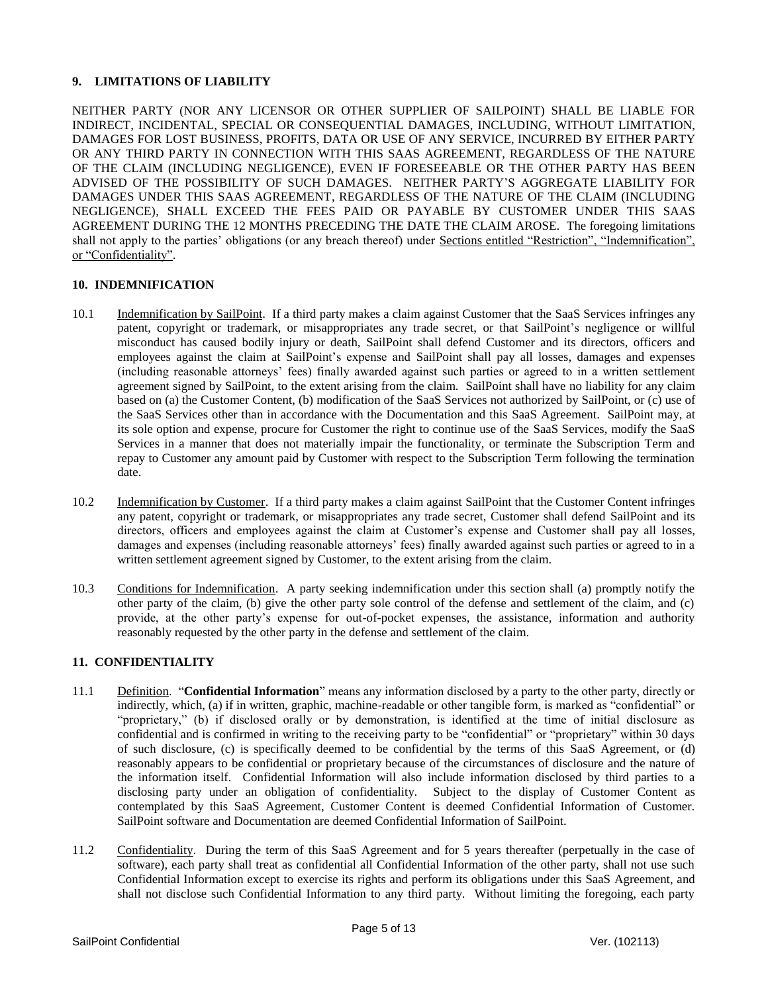# **9. LIMITATIONS OF LIABILITY**

NEITHER PARTY (NOR ANY LICENSOR OR OTHER SUPPLIER OF SAILPOINT) SHALL BE LIABLE FOR INDIRECT, INCIDENTAL, SPECIAL OR CONSEQUENTIAL DAMAGES, INCLUDING, WITHOUT LIMITATION, DAMAGES FOR LOST BUSINESS, PROFITS, DATA OR USE OF ANY SERVICE, INCURRED BY EITHER PARTY OR ANY THIRD PARTY IN CONNECTION WITH THIS SAAS AGREEMENT, REGARDLESS OF THE NATURE OF THE CLAIM (INCLUDING NEGLIGENCE), EVEN IF FORESEEABLE OR THE OTHER PARTY HAS BEEN ADVISED OF THE POSSIBILITY OF SUCH DAMAGES. NEITHER PARTY'S AGGREGATE LIABILITY FOR DAMAGES UNDER THIS SAAS AGREEMENT, REGARDLESS OF THE NATURE OF THE CLAIM (INCLUDING NEGLIGENCE), SHALL EXCEED THE FEES PAID OR PAYABLE BY CUSTOMER UNDER THIS SAAS AGREEMENT DURING THE 12 MONTHS PRECEDING THE DATE THE CLAIM AROSE. The foregoing limitations shall not apply to the parties' obligations (or any breach thereof) under Sections entitled "Restriction", "Indemnification", or "Confidentiality".

### **10. INDEMNIFICATION**

- 10.1 Indemnification by SailPoint. If a third party makes a claim against Customer that the SaaS Services infringes any patent, copyright or trademark, or misappropriates any trade secret, or that SailPoint's negligence or willful misconduct has caused bodily injury or death, SailPoint shall defend Customer and its directors, officers and employees against the claim at SailPoint's expense and SailPoint shall pay all losses, damages and expenses (including reasonable attorneys' fees) finally awarded against such parties or agreed to in a written settlement agreement signed by SailPoint, to the extent arising from the claim. SailPoint shall have no liability for any claim based on (a) the Customer Content, (b) modification of the SaaS Services not authorized by SailPoint, or (c) use of the SaaS Services other than in accordance with the Documentation and this SaaS Agreement. SailPoint may, at its sole option and expense, procure for Customer the right to continue use of the SaaS Services, modify the SaaS Services in a manner that does not materially impair the functionality, or terminate the Subscription Term and repay to Customer any amount paid by Customer with respect to the Subscription Term following the termination date.
- 10.2 Indemnification by Customer. If a third party makes a claim against SailPoint that the Customer Content infringes any patent, copyright or trademark, or misappropriates any trade secret, Customer shall defend SailPoint and its directors, officers and employees against the claim at Customer's expense and Customer shall pay all losses, damages and expenses (including reasonable attorneys' fees) finally awarded against such parties or agreed to in a written settlement agreement signed by Customer, to the extent arising from the claim.
- 10.3 Conditions for Indemnification. A party seeking indemnification under this section shall (a) promptly notify the other party of the claim, (b) give the other party sole control of the defense and settlement of the claim, and (c) provide, at the other party's expense for out-of-pocket expenses, the assistance, information and authority reasonably requested by the other party in the defense and settlement of the claim.

# **11. CONFIDENTIALITY**

- 11.1 Definition. "**Confidential Information**" means any information disclosed by a party to the other party, directly or indirectly, which, (a) if in written, graphic, machine-readable or other tangible form, is marked as "confidential" or "proprietary," (b) if disclosed orally or by demonstration, is identified at the time of initial disclosure as confidential and is confirmed in writing to the receiving party to be "confidential" or "proprietary" within 30 days of such disclosure, (c) is specifically deemed to be confidential by the terms of this SaaS Agreement, or (d) reasonably appears to be confidential or proprietary because of the circumstances of disclosure and the nature of the information itself. Confidential Information will also include information disclosed by third parties to a disclosing party under an obligation of confidentiality. Subject to the display of Customer Content as contemplated by this SaaS Agreement, Customer Content is deemed Confidential Information of Customer. SailPoint software and Documentation are deemed Confidential Information of SailPoint.
- 11.2 Confidentiality. During the term of this SaaS Agreement and for 5 years thereafter (perpetually in the case of software), each party shall treat as confidential all Confidential Information of the other party, shall not use such Confidential Information except to exercise its rights and perform its obligations under this SaaS Agreement, and shall not disclose such Confidential Information to any third party. Without limiting the foregoing, each party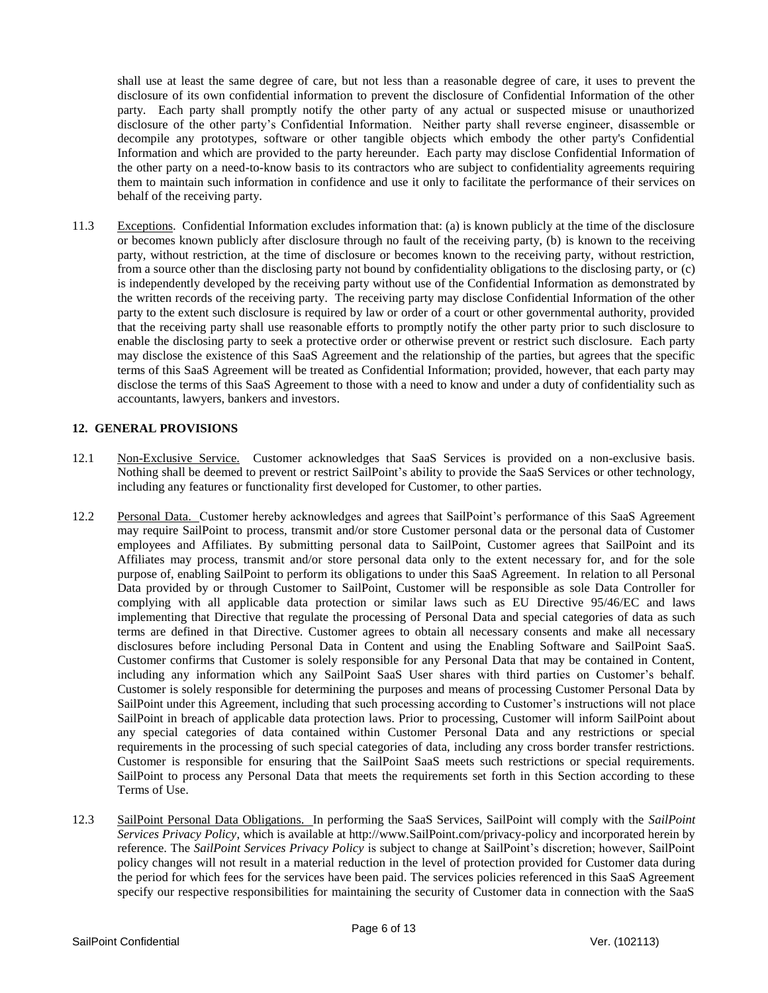shall use at least the same degree of care, but not less than a reasonable degree of care, it uses to prevent the disclosure of its own confidential information to prevent the disclosure of Confidential Information of the other party. Each party shall promptly notify the other party of any actual or suspected misuse or unauthorized disclosure of the other party's Confidential Information. Neither party shall reverse engineer, disassemble or decompile any prototypes, software or other tangible objects which embody the other party's Confidential Information and which are provided to the party hereunder. Each party may disclose Confidential Information of the other party on a need-to-know basis to its contractors who are subject to confidentiality agreements requiring them to maintain such information in confidence and use it only to facilitate the performance of their services on behalf of the receiving party.

11.3 Exceptions. Confidential Information excludes information that: (a) is known publicly at the time of the disclosure or becomes known publicly after disclosure through no fault of the receiving party, (b) is known to the receiving party, without restriction, at the time of disclosure or becomes known to the receiving party, without restriction, from a source other than the disclosing party not bound by confidentiality obligations to the disclosing party, or (c) is independently developed by the receiving party without use of the Confidential Information as demonstrated by the written records of the receiving party. The receiving party may disclose Confidential Information of the other party to the extent such disclosure is required by law or order of a court or other governmental authority, provided that the receiving party shall use reasonable efforts to promptly notify the other party prior to such disclosure to enable the disclosing party to seek a protective order or otherwise prevent or restrict such disclosure. Each party may disclose the existence of this SaaS Agreement and the relationship of the parties, but agrees that the specific terms of this SaaS Agreement will be treated as Confidential Information; provided, however, that each party may disclose the terms of this SaaS Agreement to those with a need to know and under a duty of confidentiality such as accountants, lawyers, bankers and investors.

### **12. GENERAL PROVISIONS**

- 12.1 Non-Exclusive Service. Customer acknowledges that SaaS Services is provided on a non-exclusive basis. Nothing shall be deemed to prevent or restrict SailPoint's ability to provide the SaaS Services or other technology, including any features or functionality first developed for Customer, to other parties.
- 12.2 Personal Data. Customer hereby acknowledges and agrees that SailPoint's performance of this SaaS Agreement may require SailPoint to process, transmit and/or store Customer personal data or the personal data of Customer employees and Affiliates. By submitting personal data to SailPoint, Customer agrees that SailPoint and its Affiliates may process, transmit and/or store personal data only to the extent necessary for, and for the sole purpose of, enabling SailPoint to perform its obligations to under this SaaS Agreement. In relation to all Personal Data provided by or through Customer to SailPoint, Customer will be responsible as sole Data Controller for complying with all applicable data protection or similar laws such as EU Directive 95/46/EC and laws implementing that Directive that regulate the processing of Personal Data and special categories of data as such terms are defined in that Directive. Customer agrees to obtain all necessary consents and make all necessary disclosures before including Personal Data in Content and using the Enabling Software and SailPoint SaaS. Customer confirms that Customer is solely responsible for any Personal Data that may be contained in Content, including any information which any SailPoint SaaS User shares with third parties on Customer's behalf. Customer is solely responsible for determining the purposes and means of processing Customer Personal Data by SailPoint under this Agreement, including that such processing according to Customer's instructions will not place SailPoint in breach of applicable data protection laws. Prior to processing, Customer will inform SailPoint about any special categories of data contained within Customer Personal Data and any restrictions or special requirements in the processing of such special categories of data, including any cross border transfer restrictions. Customer is responsible for ensuring that the SailPoint SaaS meets such restrictions or special requirements. SailPoint to process any Personal Data that meets the requirements set forth in this Section according to these Terms of Use.
- 12.3 SailPoint Personal Data Obligations. In performing the SaaS Services, SailPoint will comply with the *SailPoint Services Privacy Policy*, which is available at http://www.SailPoint.com/privacy-policy and incorporated herein by reference. The *SailPoint Services Privacy Policy* is subject to change at SailPoint's discretion; however, SailPoint policy changes will not result in a material reduction in the level of protection provided for Customer data during the period for which fees for the services have been paid. The services policies referenced in this SaaS Agreement specify our respective responsibilities for maintaining the security of Customer data in connection with the SaaS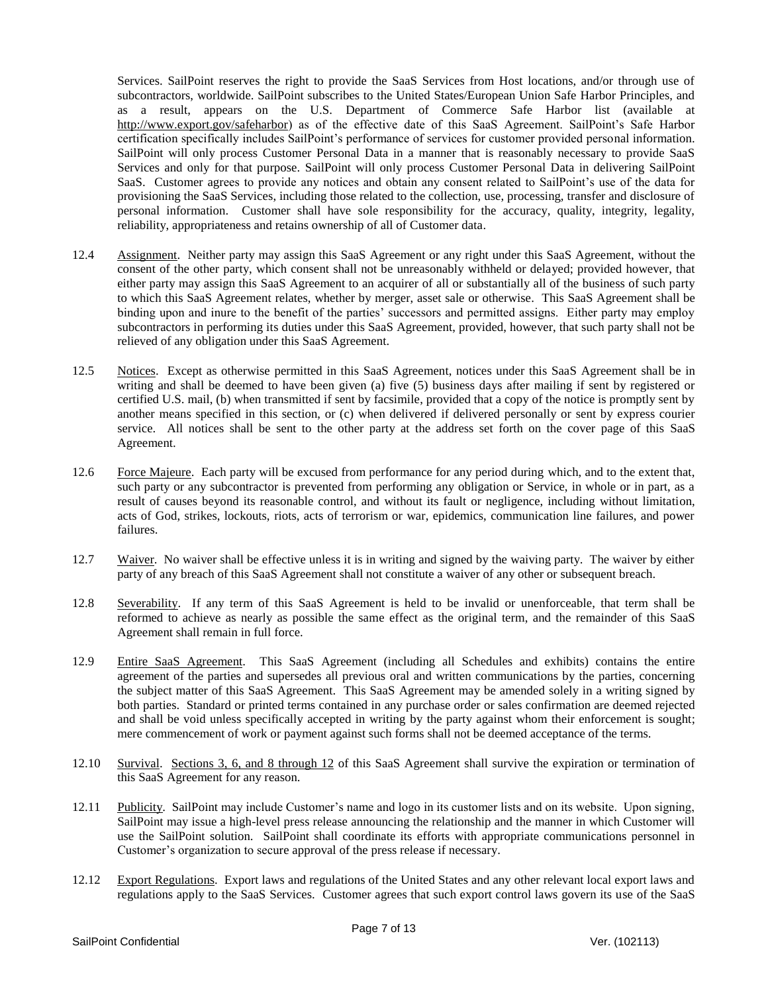Services. SailPoint reserves the right to provide the SaaS Services from Host locations, and/or through use of subcontractors, worldwide. SailPoint subscribes to the United States/European Union Safe Harbor Principles, and as a result, appears on the U.S. Department of Commerce Safe Harbor list (available at http://www.export.gov/safeharbor) as of the effective date of this SaaS Agreement. SailPoint's Safe Harbor certification specifically includes SailPoint's performance of services for customer provided personal information. SailPoint will only process Customer Personal Data in a manner that is reasonably necessary to provide SaaS Services and only for that purpose. SailPoint will only process Customer Personal Data in delivering SailPoint SaaS. Customer agrees to provide any notices and obtain any consent related to SailPoint's use of the data for provisioning the SaaS Services, including those related to the collection, use, processing, transfer and disclosure of personal information. Customer shall have sole responsibility for the accuracy, quality, integrity, legality, reliability, appropriateness and retains ownership of all of Customer data.

- 12.4 Assignment. Neither party may assign this SaaS Agreement or any right under this SaaS Agreement, without the consent of the other party, which consent shall not be unreasonably withheld or delayed; provided however, that either party may assign this SaaS Agreement to an acquirer of all or substantially all of the business of such party to which this SaaS Agreement relates, whether by merger, asset sale or otherwise. This SaaS Agreement shall be binding upon and inure to the benefit of the parties' successors and permitted assigns. Either party may employ subcontractors in performing its duties under this SaaS Agreement, provided, however, that such party shall not be relieved of any obligation under this SaaS Agreement.
- 12.5 Notices. Except as otherwise permitted in this SaaS Agreement, notices under this SaaS Agreement shall be in writing and shall be deemed to have been given (a) five (5) business days after mailing if sent by registered or certified U.S. mail, (b) when transmitted if sent by facsimile, provided that a copy of the notice is promptly sent by another means specified in this section, or (c) when delivered if delivered personally or sent by express courier service. All notices shall be sent to the other party at the address set forth on the cover page of this SaaS Agreement.
- 12.6 Force Majeure. Each party will be excused from performance for any period during which, and to the extent that, such party or any subcontractor is prevented from performing any obligation or Service, in whole or in part, as a result of causes beyond its reasonable control, and without its fault or negligence, including without limitation, acts of God, strikes, lockouts, riots, acts of terrorism or war, epidemics, communication line failures, and power failures.
- 12.7 Waiver. No waiver shall be effective unless it is in writing and signed by the waiving party. The waiver by either party of any breach of this SaaS Agreement shall not constitute a waiver of any other or subsequent breach.
- 12.8 Severability. If any term of this SaaS Agreement is held to be invalid or unenforceable, that term shall be reformed to achieve as nearly as possible the same effect as the original term, and the remainder of this SaaS Agreement shall remain in full force.
- 12.9 Entire SaaS Agreement. This SaaS Agreement (including all Schedules and exhibits) contains the entire agreement of the parties and supersedes all previous oral and written communications by the parties, concerning the subject matter of this SaaS Agreement. This SaaS Agreement may be amended solely in a writing signed by both parties. Standard or printed terms contained in any purchase order or sales confirmation are deemed rejected and shall be void unless specifically accepted in writing by the party against whom their enforcement is sought; mere commencement of work or payment against such forms shall not be deemed acceptance of the terms.
- 12.10 Survival. Sections 3, 6, and 8 through 12 of this SaaS Agreement shall survive the expiration or termination of this SaaS Agreement for any reason.
- 12.11 Publicity. SailPoint may include Customer's name and logo in its customer lists and on its website. Upon signing, SailPoint may issue a high-level press release announcing the relationship and the manner in which Customer will use the SailPoint solution. SailPoint shall coordinate its efforts with appropriate communications personnel in Customer's organization to secure approval of the press release if necessary.
- 12.12 Export Regulations. Export laws and regulations of the United States and any other relevant local export laws and regulations apply to the SaaS Services. Customer agrees that such export control laws govern its use of the SaaS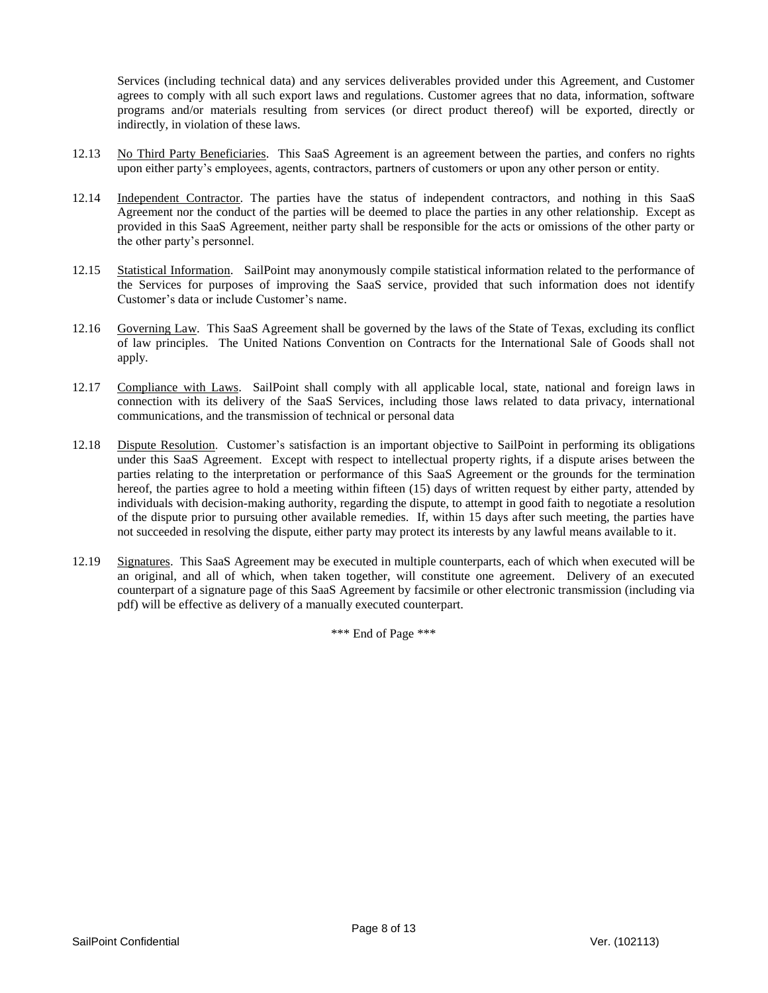Services (including technical data) and any services deliverables provided under this Agreement, and Customer agrees to comply with all such export laws and regulations. Customer agrees that no data, information, software programs and/or materials resulting from services (or direct product thereof) will be exported, directly or indirectly, in violation of these laws.

- 12.13 No Third Party Beneficiaries. This SaaS Agreement is an agreement between the parties, and confers no rights upon either party's employees, agents, contractors, partners of customers or upon any other person or entity.
- 12.14 Independent Contractor. The parties have the status of independent contractors, and nothing in this SaaS Agreement nor the conduct of the parties will be deemed to place the parties in any other relationship. Except as provided in this SaaS Agreement, neither party shall be responsible for the acts or omissions of the other party or the other party's personnel.
- 12.15 Statistical Information. SailPoint may anonymously compile statistical information related to the performance of the Services for purposes of improving the SaaS service, provided that such information does not identify Customer's data or include Customer's name.
- 12.16 Governing Law. This SaaS Agreement shall be governed by the laws of the State of Texas, excluding its conflict of law principles. The United Nations Convention on Contracts for the International Sale of Goods shall not apply.
- 12.17 Compliance with Laws. SailPoint shall comply with all applicable local, state, national and foreign laws in connection with its delivery of the SaaS Services, including those laws related to data privacy, international communications, and the transmission of technical or personal data
- 12.18 Dispute Resolution. Customer's satisfaction is an important objective to SailPoint in performing its obligations under this SaaS Agreement. Except with respect to intellectual property rights, if a dispute arises between the parties relating to the interpretation or performance of this SaaS Agreement or the grounds for the termination hereof, the parties agree to hold a meeting within fifteen (15) days of written request by either party, attended by individuals with decision-making authority, regarding the dispute, to attempt in good faith to negotiate a resolution of the dispute prior to pursuing other available remedies. If, within 15 days after such meeting, the parties have not succeeded in resolving the dispute, either party may protect its interests by any lawful means available to it.
- 12.19 Signatures. This SaaS Agreement may be executed in multiple counterparts, each of which when executed will be an original, and all of which, when taken together, will constitute one agreement. Delivery of an executed counterpart of a signature page of this SaaS Agreement by facsimile or other electronic transmission (including via pdf) will be effective as delivery of a manually executed counterpart.

\*\*\* End of Page \*\*\*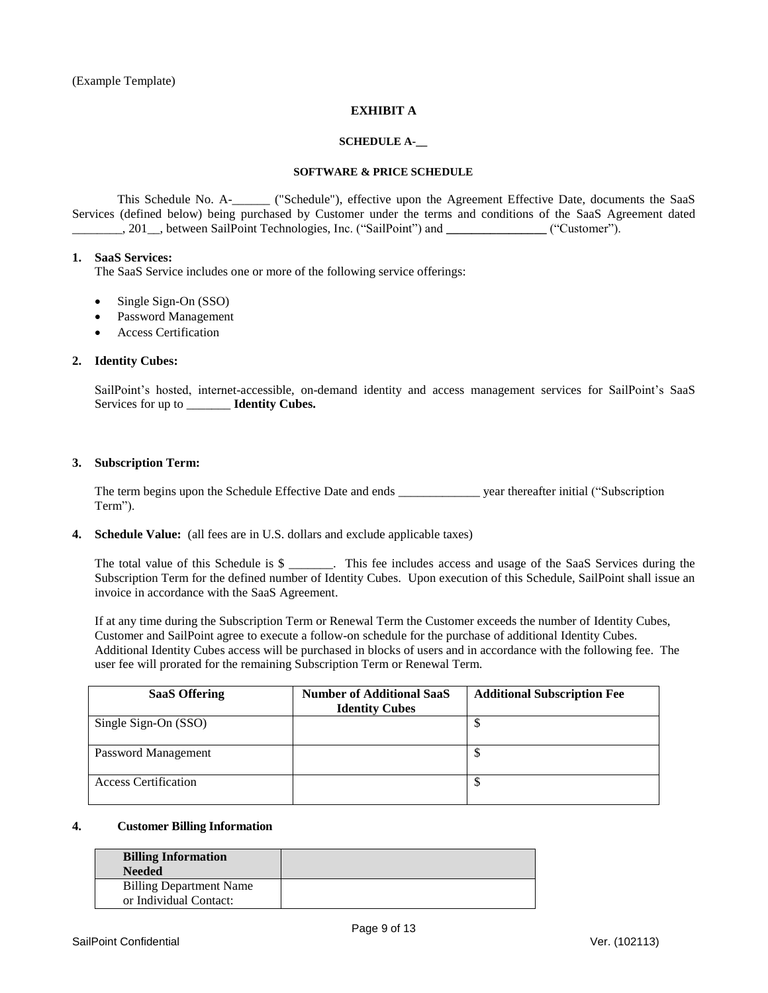(Example Template)

# **EXHIBIT A**

### **SCHEDULE A-\_\_**

#### **SOFTWARE & PRICE SCHEDULE**

This Schedule No. A-\_\_\_\_\_\_ ("Schedule"), effective upon the Agreement Effective Date, documents the SaaS Services (defined below) being purchased by Customer under the terms and conditions of the SaaS Agreement dated \_\_\_\_\_\_\_\_, 201\_\_, between SailPoint Technologies, Inc. ("SailPoint") and **\_\_\_\_\_\_\_\_\_\_\_\_\_\_\_\_** ("Customer").

# **1. SaaS Services:**

The SaaS Service includes one or more of the following service offerings:

- Single Sign-On (SSO)
- Password Management
- Access Certification

### **2. Identity Cubes:**

SailPoint's hosted, internet-accessible, on-demand identity and access management services for SailPoint's SaaS Services for up to \_\_\_\_\_\_\_ **Identity Cubes.** 

### **3. Subscription Term:**

The term begins upon the Schedule Effective Date and ends \_\_\_\_\_\_\_\_\_\_\_\_\_ year thereafter initial ("Subscription Term").

### **4. Schedule Value:** (all fees are in U.S. dollars and exclude applicable taxes)

The total value of this Schedule is \$ \_\_\_\_\_\_\_. This fee includes access and usage of the SaaS Services during the Subscription Term for the defined number of Identity Cubes. Upon execution of this Schedule, SailPoint shall issue an invoice in accordance with the SaaS Agreement.

If at any time during the Subscription Term or Renewal Term the Customer exceeds the number of Identity Cubes, Customer and SailPoint agree to execute a follow-on schedule for the purchase of additional Identity Cubes. Additional Identity Cubes access will be purchased in blocks of users and in accordance with the following fee. The user fee will prorated for the remaining Subscription Term or Renewal Term.

| <b>SaaS Offering</b>        | <b>Number of Additional SaaS</b> | <b>Additional Subscription Fee</b> |
|-----------------------------|----------------------------------|------------------------------------|
|                             | <b>Identity Cubes</b>            |                                    |
| Single Sign-On (SSO)        |                                  | Ψ                                  |
| Password Management         |                                  | ◡                                  |
| <b>Access Certification</b> |                                  | ◡                                  |

### **4. Customer Billing Information**

| <b>Billing Information</b><br><b>Needed</b>              |  |
|----------------------------------------------------------|--|
| <b>Billing Department Name</b><br>or Individual Contact: |  |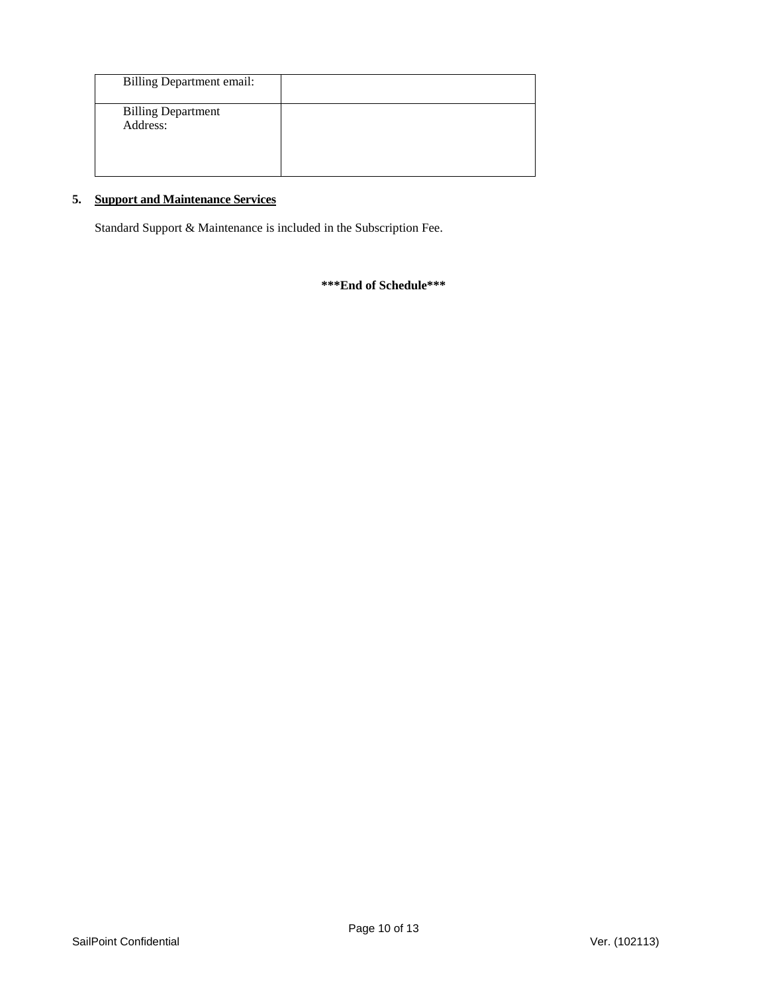| <b>Billing Department email:</b>      |  |
|---------------------------------------|--|
| <b>Billing Department</b><br>Address: |  |
|                                       |  |

# **5. Support and Maintenance Services**

Standard Support & Maintenance is included in the Subscription Fee.

**\*\*\*End of Schedule\*\*\***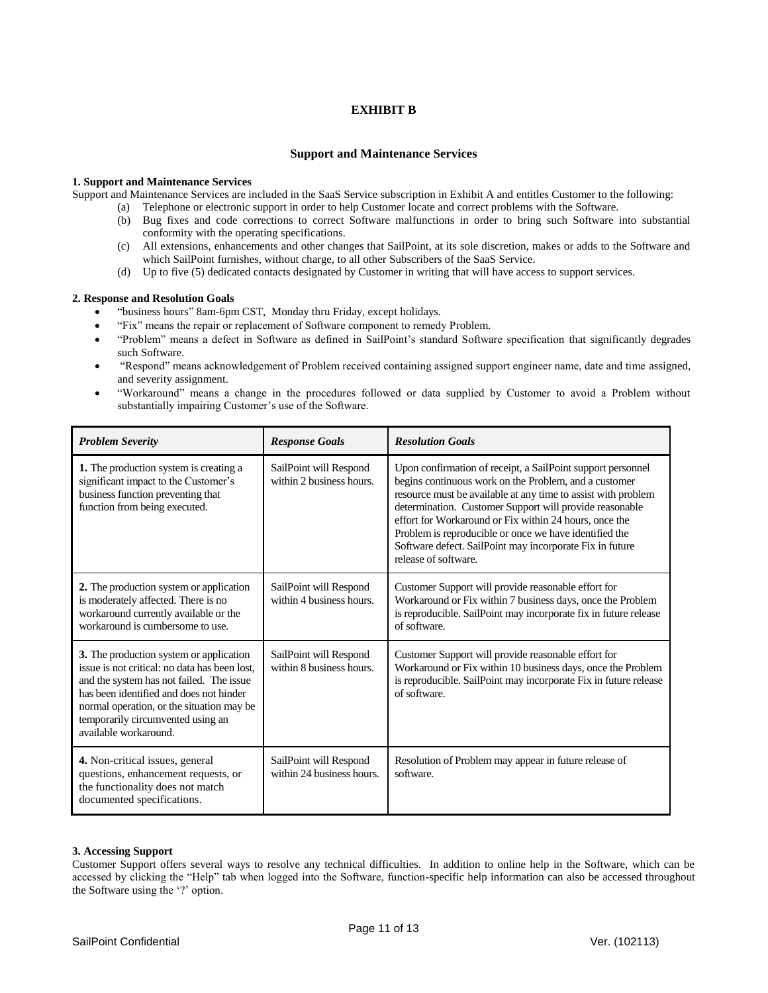# **EXHIBIT B**

#### **Support and Maintenance Services**

#### **1. Support and Maintenance Services**

Support and Maintenance Services are included in the SaaS Service subscription in Exhibit A and entitles Customer to the following:

- (a) Telephone or electronic support in order to help Customer locate and correct problems with the Software.
- (b) Bug fixes and code corrections to correct Software malfunctions in order to bring such Software into substantial conformity with the operating specifications.
- (c) All extensions, enhancements and other changes that SailPoint, at its sole discretion, makes or adds to the Software and which SailPoint furnishes, without charge, to all other Subscribers of the SaaS Service.
- (d) Up to five (5) dedicated contacts designated by Customer in writing that will have access to support services.

#### **2. Response and Resolution Goals**

- "business hours" 8am-6pm CST, Monday thru Friday, except holidays.
- "Fix" means the repair or replacement of Software component to remedy Problem.
- "Problem" means a defect in Software as defined in SailPoint's standard Software specification that significantly degrades such Software.
- "Respond" means acknowledgement of Problem received containing assigned support engineer name, date and time assigned, and severity assignment.
- "Workaround" means a change in the procedures followed or data supplied by Customer to avoid a Problem without substantially impairing Customer's use of the Software.

| <b>Problem Severity</b>                                                                                                                                                                                                                                                                    | <b>Response Goals</b>                               | <b>Resolution Goals</b>                                                                                                                                                                                                                                                                                                                                                                                                                                  |
|--------------------------------------------------------------------------------------------------------------------------------------------------------------------------------------------------------------------------------------------------------------------------------------------|-----------------------------------------------------|----------------------------------------------------------------------------------------------------------------------------------------------------------------------------------------------------------------------------------------------------------------------------------------------------------------------------------------------------------------------------------------------------------------------------------------------------------|
| 1. The production system is creating a<br>significant impact to the Customer's<br>business function preventing that<br>function from being executed.                                                                                                                                       | SailPoint will Respond<br>within 2 business hours.  | Upon confirmation of receipt, a SailPoint support personnel<br>begins continuous work on the Problem, and a customer<br>resource must be available at any time to assist with problem<br>determination. Customer Support will provide reasonable<br>effort for Workaround or Fix within 24 hours, once the<br>Problem is reproducible or once we have identified the<br>Software defect. SailPoint may incorporate Fix in future<br>release of software. |
| 2. The production system or application<br>is moderately affected. There is no<br>workaround currently available or the<br>workaround is cumbersome to use.                                                                                                                                | SailPoint will Respond<br>within 4 business hours.  | Customer Support will provide reasonable effort for<br>Workaround or Fix within 7 business days, once the Problem<br>is reproducible. SailPoint may incorporate fix in future release<br>of software.                                                                                                                                                                                                                                                    |
| 3. The production system or application<br>issue is not critical: no data has been lost,<br>and the system has not failed. The issue<br>has been identified and does not hinder<br>normal operation, or the situation may be<br>temporarily circumvented using an<br>available workaround. | SailPoint will Respond<br>within 8 business hours.  | Customer Support will provide reasonable effort for<br>Workaround or Fix within 10 business days, once the Problem<br>is reproducible. SailPoint may incorporate Fix in future release<br>of software.                                                                                                                                                                                                                                                   |
| 4. Non-critical issues, general<br>questions, enhancement requests, or<br>the functionality does not match<br>documented specifications.                                                                                                                                                   | SailPoint will Respond<br>within 24 business hours. | Resolution of Problem may appear in future release of<br>software.                                                                                                                                                                                                                                                                                                                                                                                       |

### **3. Accessing Support**

Customer Support offers several ways to resolve any technical difficulties. In addition to online help in the Software, which can be accessed by clicking the "Help" tab when logged into the Software, function-specific help information can also be accessed throughout the Software using the '?' option.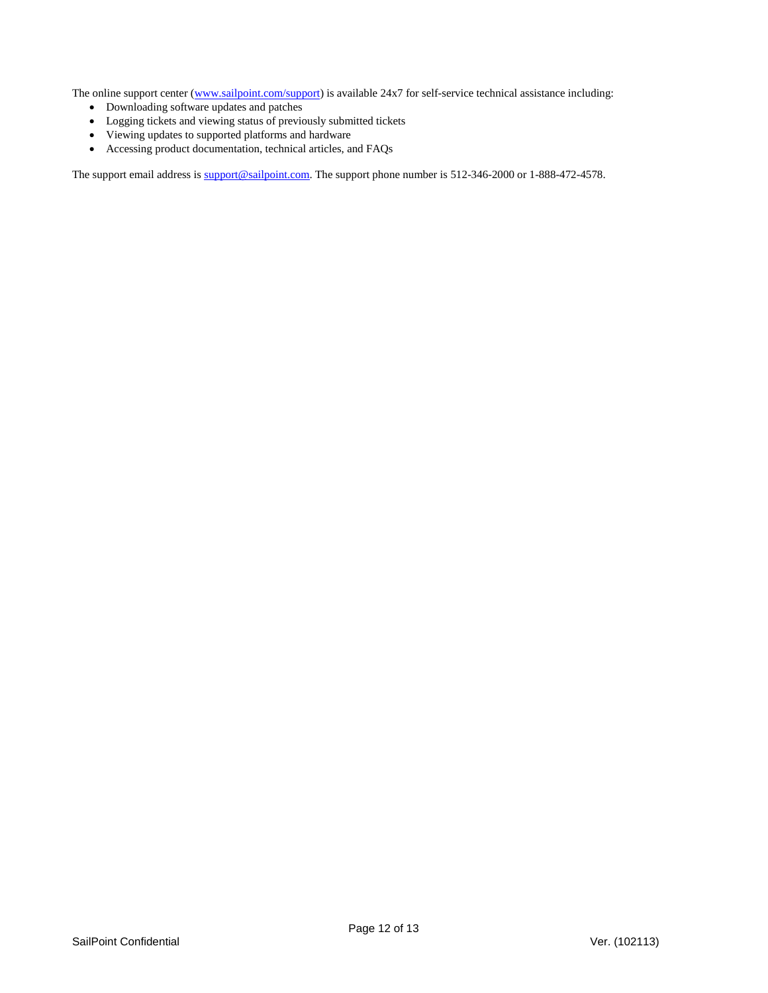The online support center [\(www.sailpoint.com/support\)](http://www.sailpoint.com/support) is available 24x7 for self-service technical assistance including:

- Downloading software updates and patches
- Logging tickets and viewing status of previously submitted tickets
- Viewing updates to supported platforms and hardware
- Accessing product documentation, technical articles, and FAQs

The support email address is [support@sailpoint.com.](mailto:support@sailpoint.com) The support phone number is 512-346-2000 or 1-888-472-4578.